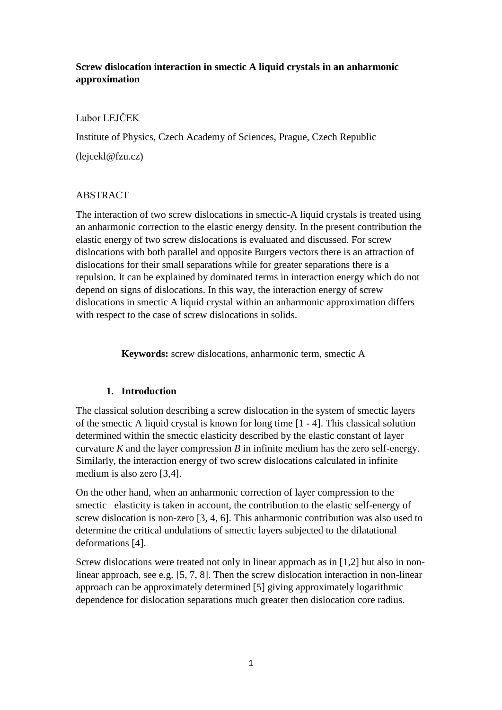# **Screw dislocation interaction in smectic A liquid crystals in an anharmonic approximation**

### Lubor LEJČEK

Institute of Physics, Czech Academy of Sciences, Prague, Czech Republic

(lejcekl@fzu.cz)

# ABSTRACT

The interaction of two screw dislocations in smectic-A liquid crystals is treated using an anharmonic correction to the elastic energy density. In the present contribution the elastic energy of two screw dislocations is evaluated and discussed. For screw dislocations with both parallel and opposite Burgers vectors there is an attraction of dislocations for their small separations while for greater separations there is a repulsion. It can be explained by dominated terms in interaction energy which do not depend on signs of dislocations. In this way, the interaction energy of screw dislocations in smectic A liquid crystal within an anharmonic approximation differs with respect to the case of screw dislocations in solids.

**Keywords:** screw dislocations, anharmonic term, smectic A

# **1. Introduction**

The classical solution describing a screw dislocation in the system of smectic layers of the smectic A liquid crystal is known for long time [1 - 4]. This classical solution determined within the smectic elasticity described by the elastic constant of layer curvature *K* and the layer compression *B* in infinite medium has the zero self-energy. Similarly, the interaction energy of two screw dislocations calculated in infinite medium is also zero [3,4].

On the other hand, when an anharmonic correction of layer compression to the smectic elasticity is taken in account, the contribution to the elastic self-energy of screw dislocation is non-zero [3, 4, 6]. This anharmonic contribution was also used to determine the critical undulations of smectic layers subjected to the dilatational deformations [4].

Screw dislocations were treated not only in linear approach as in [1,2] but also in nonlinear approach, see e.g. [5, 7, 8]. Then the screw dislocation interaction in non-linear approach can be approximately determined [5] giving approximately logarithmic dependence for dislocation separations much greater then dislocation core radius.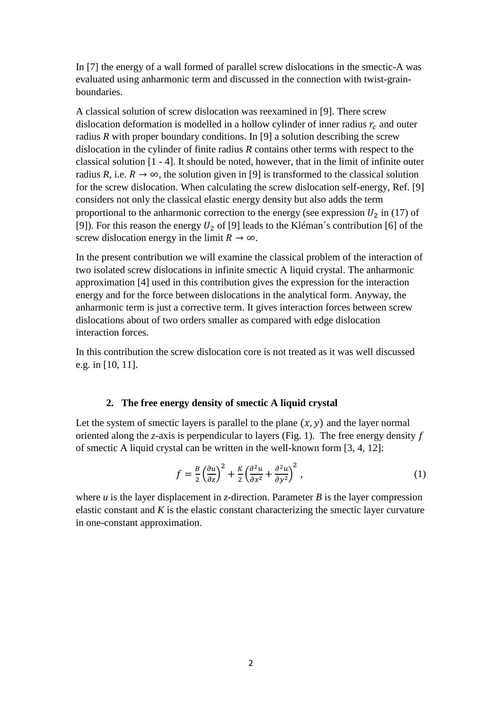In [7] the energy of a wall formed of parallel screw dislocations in the smectic-A was evaluated using anharmonic term and discussed in the connection with twist-grainboundaries.

A classical solution of screw dislocation was reexamined in [9]. There screw dislocation deformation is modelled in a hollow cylinder of inner radius  $r_c$  and outer radius *R* with proper boundary conditions. In [9] a solution describing the screw dislocation in the cylinder of finite radius *R* contains other terms with respect to the classical solution [1 - 4]. It should be noted, however, that in the limit of infinite outer radius *R*, i.e.  $R \to \infty$ , the solution given in [9] is transformed to the classical solution for the screw dislocation. When calculating the screw dislocation self-energy, Ref. [9] considers not only the classical elastic energy density but also adds the term proportional to the anharmonic correction to the energy (see expression  $U_2$  in (17) of [9]). For this reason the energy  $U_2$  of [9] leads to the Kléman´s contribution [6] of the screw dislocation energy in the limit  $R \to \infty$ .

In the present contribution we will examine the classical problem of the interaction of two isolated screw dislocations in infinite smectic A liquid crystal. The anharmonic approximation [4] used in this contribution gives the expression for the interaction energy and for the force between dislocations in the analytical form. Anyway, the anharmonic term is just a corrective term. It gives interaction forces between screw dislocations about of two orders smaller as compared with edge dislocation interaction forces.

In this contribution the screw dislocation core is not treated as it was well discussed e.g. in [10, 11].

### **2. The free energy density of smectic A liquid crystal**

Let the system of smectic layers is parallel to the plane  $(x, y)$  and the layer normal oriented along the *z*-axis is perpendicular to layers (Fig. 1). The free energy density  $f$ of smectic A liquid crystal can be written in the well-known form [3, 4, 12]:

$$
f = \frac{B}{2} \left(\frac{\partial u}{\partial z}\right)^2 + \frac{K}{2} \left(\frac{\partial^2 u}{\partial x^2} + \frac{\partial^2 u}{\partial y^2}\right)^2, \tag{1}
$$

where  $u$  is the layer displacement in *z*-direction. Parameter  $B$  is the layer compression elastic constant and *K* is the elastic constant characterizing the smectic layer curvature in one-constant approximation.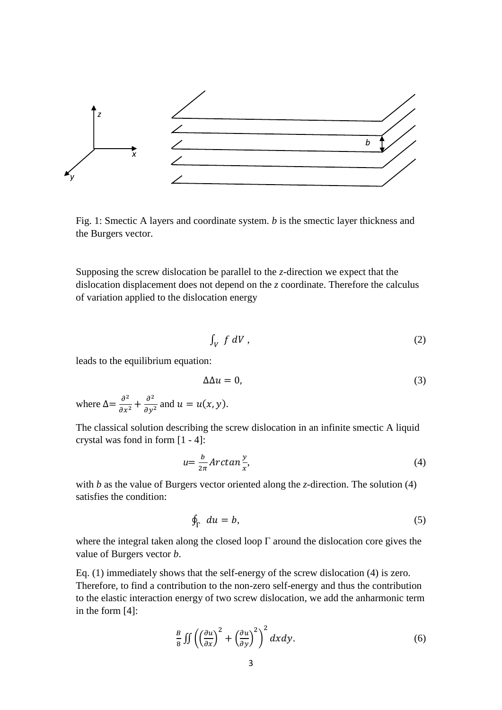

Fig. 1: Smectic A layers and coordinate system. *b* is the smectic layer thickness and the Burgers vector.

Supposing the screw dislocation be parallel to the *z*-direction we expect that the dislocation displacement does not depend on the *z* coordinate. Therefore the calculus of variation applied to the dislocation energy

$$
\int_V f \, dV \,, \tag{2}
$$

leads to the equilibrium equation:

$$
\Delta \Delta u = 0,\tag{3}
$$

where  $\Delta = \frac{\partial^2}{\partial x^2}$  $\frac{\partial^2}{\partial x^2} + \frac{\partial^2}{\partial y^2}$  $\frac{\partial}{\partial y^2}$  and  $u = u(x, y)$ .

The classical solution describing the screw dislocation in an infinite smectic A liquid crystal was fond in form [1 - 4]:

$$
u = \frac{b}{2\pi} Arctan\frac{y}{x},\tag{4}
$$

with *b* as the value of Burgers vector oriented along the *z*-direction. The solution (4) satisfies the condition:

$$
\oint_{\Gamma} du = b,\tag{5}
$$

where the integral taken along the closed loop  $\Gamma$  around the dislocation core gives the value of Burgers vector *b*.

Eq. (1) immediately shows that the self-energy of the screw dislocation (4) is zero. Therefore, to find a contribution to the non-zero self-energy and thus the contribution to the elastic interaction energy of two screw dislocation, we add the anharmonic term in the form [4]:

$$
\frac{B}{8} \iint \left( \left( \frac{\partial u}{\partial x} \right)^2 + \left( \frac{\partial u}{\partial y} \right)^2 \right)^2 dx dy.
$$
 (6)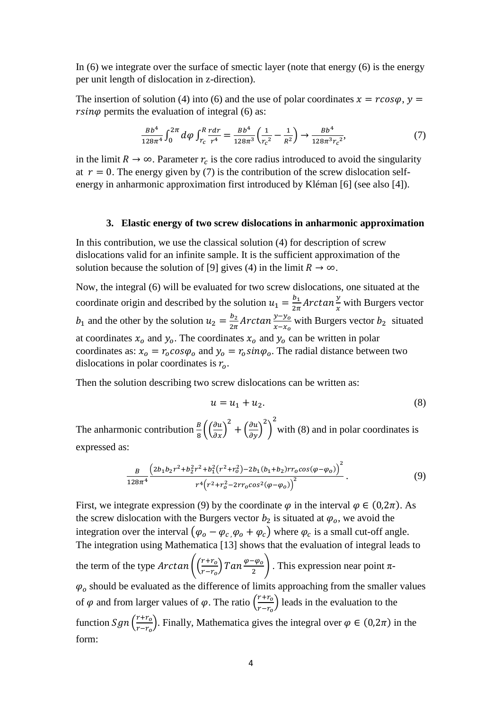In (6) we integrate over the surface of smectic layer (note that energy (6) is the energy per unit length of dislocation in z-direction).

The insertion of solution (4) into (6) and the use of polar coordinates  $x = r \cos \varphi$ ,  $y =$  $rsin\varphi$  permits the evaluation of integral (6) as:

$$
\frac{Bb^4}{128\pi^4} \int_0^{2\pi} d\varphi \int_{r_c}^R \frac{r dr}{r^4} = \frac{Bb^4}{128\pi^3} \left(\frac{1}{r_c^2} - \frac{1}{R^2}\right) \to \frac{Bb^4}{128\pi^3 r_c^2},\tag{7}
$$

in the limit  $R \to \infty$ . Parameter  $r_c$  is the core radius introduced to avoid the singularity at  $r = 0$ . The energy given by (7) is the contribution of the screw dislocation selfenergy in anharmonic approximation first introduced by Kléman [6] (see also [4]).

#### **3. Elastic energy of two screw dislocations in anharmonic approximation**

In this contribution, we use the classical solution (4) for description of screw dislocations valid for an infinite sample. It is the sufficient approximation of the solution because the solution of [9] gives (4) in the limit  $R \to \infty$ .

Now, the integral (6) will be evaluated for two screw dislocations, one situated at the coordinate origin and described by the solution  $u_1 = \frac{b_1}{2\pi}$  $\frac{b_1}{2\pi}$  Arctan  $\frac{y}{x}$  with Burgers vector  $b_1$  and the other by the solution  $u_2 = \frac{b_2}{2\pi}$  $\frac{b_2}{2\pi}$  Arctan  $\frac{y-y_0}{x-x_0}$  with Burgers vector  $b_2$  situated at coordinates  $x_0$  and  $y_0$ . The coordinates  $x_0$  and  $y_0$  can be written in polar coordinates as:  $x_0 = r_0 \cos \varphi_0$  and  $y_0 = r_0 \sin \varphi_0$ . The radial distance between two dislocations in polar coordinates is  $r<sub>o</sub>$ .

Then the solution describing two screw dislocations can be written as:

$$
u = u_1 + u_2. \tag{8}
$$

The anharmonic contribution  $\frac{B}{8} \left( \left( \frac{\partial u}{\partial x} \right)^2 + \left( \frac{\partial u}{\partial y} \right)^2 \right)$ 2 with  $(8)$  and in polar coordinates is expressed as:

$$
\frac{B}{128\pi^4} \frac{\left(2b_1b_2r^2 + b_2^2r^2 + b_1^2\left(r^2 + r_0^2\right) - 2b_1(b_1 + b_2)r r_0 \cos(\varphi - \varphi_0)\right)^2}{r^4\left(r^2 + r_0^2 - 2rr_0\cos^2(\varphi - \varphi_0)\right)^2}.
$$
\n(9)

First, we integrate expression (9) by the coordinate  $\varphi$  in the interval  $\varphi \in (0,2\pi)$ . As the screw dislocation with the Burgers vector  $b_2$  is situated at  $\varphi_o$ , we avoid the integration over the interval  $(\varphi_o - \varphi_c, \varphi_o + \varphi_c)$  where  $\varphi_c$  is a small cut-off angle. The integration using Mathematica [13] shows that the evaluation of integral leads to the term of the type  $Arctan\left(\frac{r+r_0}{r-r_0}\right)$  $\frac{(r+r_o)}{(r-r_o)}$   $Tan \frac{\varphi-\varphi_o}{2}$ . This expression near point  $\pi$ - $\varphi_o$  should be evaluated as the difference of limits approaching from the smaller values of  $\varphi$  and from larger values of  $\varphi$ . The ratio  $\left(\frac{r+r_0}{r-r_0}\right)$  $\left(\frac{r+r_0}{r-r_0}\right)$  leads in the evaluation to the function  $Sgn\left(\frac{r+r_o}{r}\right)$  $(\frac{H + H_0}{T - T_0})$ . Finally, Mathematica gives the integral over  $\varphi \in (0, 2\pi)$  in the form: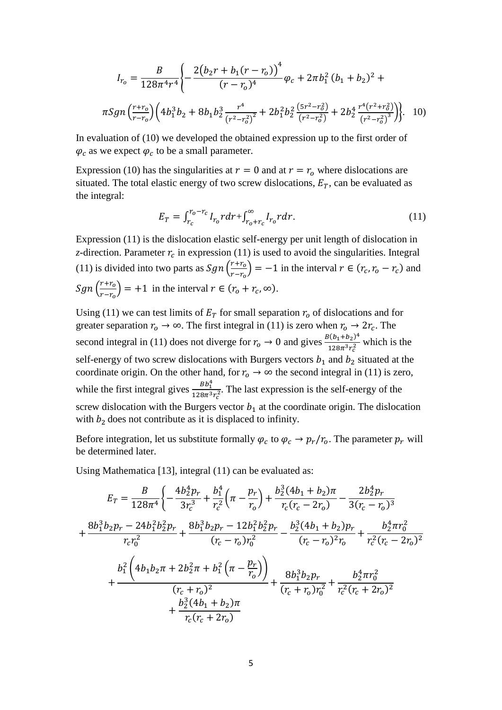$$
I_{r_0} = \frac{B}{128\pi^4 r^4} \left\{ -\frac{2(b_2 r + b_1 (r - r_0))^4}{(r - r_0)^4} \varphi_c + 2\pi b_1^2 (b_1 + b_2)^2 + \pi Sgn \left(\frac{r + r_0}{r - r_0}\right) \left(4b_1^3 b_2 + 8b_1 b_2^3 \frac{r^4}{(r^2 - r_0^2)^2} + 2b_1^2 b_2^2 \frac{(5r^2 - r_0^2)}{(r^2 - r_0^2)} + 2b_2^4 \frac{r^4 (r^2 + r_0^2)}{(r^2 - r_0^2)^3} \right) \right\}.
$$
 10)

In evaluation of (10) we developed the obtained expression up to the first order of  $\varphi_c$  as we expect  $\varphi_c$  to be a small parameter.

Expression (10) has the singularities at  $r = 0$  and at  $r = r_0$  where dislocations are situated. The total elastic energy of two screw dislocations,  $E_T$ , can be evaluated as the integral:

$$
E_T = \int_{r_c}^{r_o - r_c} I_{r_o} r dr + \int_{r_o + r_c}^{\infty} I_{r_o} r dr.
$$
 (11)

Expression (11) is the dislocation elastic self-energy per unit length of dislocation in *z*-direction. Parameter  $r_c$  in expression (11) is used to avoid the singularities. Integral (11) is divided into two parts as  $Sgn\left(\frac{r+r_0}{r}\right)$  $\left(\frac{r+r_o}{r-r_o}\right)$  = -1 in the interval  $r \in (r_c, r_o - r_c)$  and  $Sgn\left(\frac{r+r_o}{r-r_o}\right)$  $\frac{r + r_o}{r - r_o}$  = +1 in the interval  $r \in (r_o + r_c, \infty)$ .

Using (11) we can test limits of  $E<sub>T</sub>$  for small separation  $r<sub>o</sub>$  of dislocations and for greater separation  $r_o \to \infty$ . The first integral in (11) is zero when  $r_o \to 2r_c$ . The second integral in (11) does not diverge for  $r_0 \to 0$  and gives  $\frac{B(b_1+b_2)^4}{128\pi^3 s^2}$  $\frac{128\pi^3 r_c^2}{128\pi^3 r_c^2}$  which is the self-energy of two screw dislocations with Burgers vectors  $b_1$  and  $b_2$  situated at the coordinate origin. On the other hand, for  $r_0 \to \infty$  the second integral in (11) is zero, while the first integral gives  $\frac{BB_1^4}{120a^{-3}}$  $\frac{B_{D_1}}{128\pi^3 r_c^2}$ . The last expression is the self-energy of the screw dislocation with the Burgers vector  $b_1$  at the coordinate origin. The dislocation with  $b_2$  does not contribute as it is displaced to infinity.

Before integration, let us substitute formally  $\varphi_c$  to  $\varphi_c \to p_r/r_o$ . The parameter  $p_r$  will be determined later.

Using Mathematica [13], integral (11) can be evaluated as:

$$
E_{T} = \frac{B}{128\pi^{4}} \left\{ -\frac{4b_{2}^{4}p_{r}}{3r_{c}^{3}} + \frac{b_{1}^{4}}{r_{c}^{2}} \left( \pi - \frac{p_{r}}{r_{o}} \right) + \frac{b_{2}^{3}(4b_{1} + b_{2})\pi}{r_{c}(r_{c} - 2r_{o})} - \frac{2b_{2}^{4}p_{r}}{3(r_{c} - r_{o})^{3}} \right\}
$$
  
+ 
$$
\frac{8b_{1}^{3}b_{2}p_{r} - 24b_{1}^{2}b_{2}^{2}p_{r}}{r_{c}r_{0}^{2}} + \frac{8b_{1}^{3}b_{2}p_{r} - 12b_{1}^{2}b_{2}^{2}p_{r}}{(r_{c} - r_{o})r_{0}^{2}} - \frac{b_{2}^{3}(4b_{1} + b_{2})p_{r}}{(r_{c} - r_{o})^{2}r_{o}} + \frac{b_{2}^{4}\pi r_{0}^{2}}{r_{c}^{2}(r_{c} - 2r_{o})^{2}} \right\}
$$
  
+ 
$$
\frac{b_{1}^{2}\left(4b_{1}b_{2}\pi + 2b_{2}^{2}\pi + b_{1}^{2}\left(\pi - \frac{p_{r}}{r_{o}}\right)\right)}{(r_{c} + r_{o})^{2}} + \frac{8b_{1}^{3}b_{2}p_{r}}{(r_{c} + r_{o})r_{0}^{2}} + \frac{b_{2}^{4}\pi r_{0}^{2}}{r_{c}^{2}(r_{c} + 2r_{o})^{2}} \right\}
$$
  
+ 
$$
\frac{b_{2}^{3}(4b_{1} + b_{2})\pi}{r_{c}(r_{c} + 2r_{o})}
$$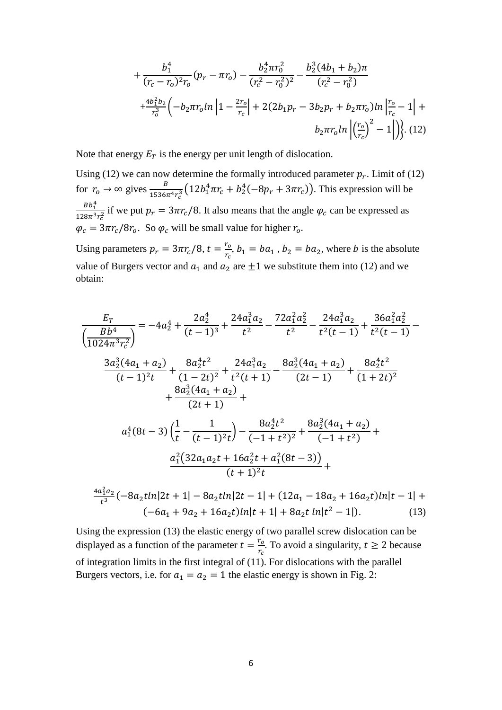$$
+\frac{b_1^4}{(r_c - r_o)^2 r_o} (p_r - \pi r_o) - \frac{b_2^4 \pi r_o^2}{(r_c^2 - r_o^2)^2} - \frac{b_2^3 (4b_1 + b_2)\pi}{(r_c^2 - r_o^2)} + \frac{4b_1^2 b_2}{r_o^3} \left(-b_2 \pi r_o \ln\left|1 - \frac{2r_o}{r_c}\right| + 2(2b_1 p_r - 3b_2 p_r + b_2 \pi r_o) \ln\left|\frac{r_o}{r_c} - 1\right| + b_2 \pi r_o \ln\left|\left(\frac{r_o}{r_c}\right)^2 - 1\right|\right), (12)
$$

Note that energy  $E_T$  is the energy per unit length of dislocation.

Using (12) we can now determine the formally introduced parameter  $p_r$ . Limit of (12) for  $r_o \rightarrow \infty$  gives  $\frac{B}{1536\pi^4 r_c^3} (12b_1^4 \pi r_c + b_2^4(-8p_r + 3\pi r_c))$ . This expression will be  $Bb_1^4$  $\frac{B_{D_1}}{128\pi^3 r_c^2}$  if we put  $p_r = 3\pi r_c/8$ . It also means that the angle  $\varphi_c$  can be expressed as  $\varphi_c = 3\pi r_c/8r_o$ . So  $\varphi_c$  will be small value for higher  $r_o$ .

Using parameters  $p_r = 3\pi r_c/8$ ,  $t = \frac{r_o}{r_s}$  $\frac{r_o}{r_c}$ ,  $b_1 = ba_1$ ,  $b_2 = ba_2$ , where *b* is the absolute value of Burgers vector and  $a_1$  and  $a_2$  are  $\pm 1$  we substitute them into (12) and we obtain:

$$
\frac{E_T}{\left(\frac{Bb^4}{1024\pi^3 r_c^2}\right)} = -4a_2^4 + \frac{2a_2^4}{(t-1)^3} + \frac{24a_1^3 a_2}{t^2} - \frac{72a_1^2 a_2^2}{t^2} - \frac{24a_1^3 a_2}{t^2(t-1)} + \frac{36a_1^2 a_2^2}{t^2(t-1)} - \frac{3a_2^3 (4a_1 + a_2)}{(t-1)^2 t} + \frac{8a_2^4 t^2}{(1-2t)^2} + \frac{24a_1^3 a_2}{t^2(t+1)} - \frac{8a_2^3 (4a_1 + a_2)}{(2t-1)} + \frac{8a_2^4 t^2}{(1+2t)^2} + \frac{8a_2^3 (4a_1 + a_2)}{(2t+1)} + \frac{a_2^3 (4a_1 + a_2)}{(t-1)^2 t} + \frac{a_2^4 t^2}{(-1+t^2)^2} + \frac{8a_2^3 (4a_1 + a_2)}{(t+1)^2 t} + \frac{a_2^2 (32a_1 a_2 t + 16a_2^2 t + a_1^2 (8t - 3))}{(t+1)^2 t} + \frac{4a_1^2 a_2}{t^3} (-8a_2 t \ln|2t+1| - 8a_2 t \ln|2t-1| + (12a_1 - 18a_2 + 16a_2 t) \ln|t-1| + (-6a_1 + 9a_2 + 16a_2 t) \ln|t+1| + 8a_2 t \ln|t^2-1|). \tag{13}
$$

Using the expression (13) the elastic energy of two parallel screw dislocation can be displayed as a function of the parameter  $t = \frac{r_o}{r_a}$  $\frac{r_o}{r_c}$ . To avoid a singularity,  $t \ge 2$  because of integration limits in the first integral of (11). For dislocations with the parallel Burgers vectors, i.e. for  $a_1 = a_2 = 1$  the elastic energy is shown in Fig. 2: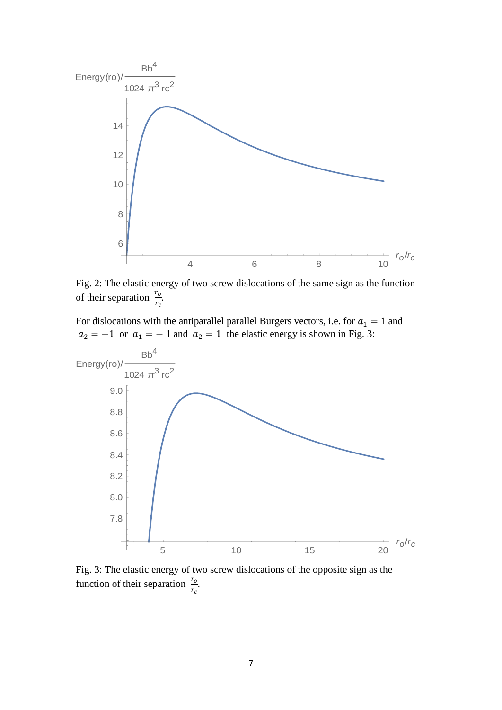

Fig. 2: The elastic energy of two screw dislocations of the same sign as the function of their separation  $\frac{r_o}{r_c}$ .

For dislocations with the antiparallel parallel Burgers vectors, i.e. for  $a_1 = 1$  and  $a_2 = -1$  or  $a_1 = -1$  and  $a_2 = 1$  the elastic energy is shown in Fig. 3:



Fig. 3: The elastic energy of two screw dislocations of the opposite sign as the function of their separation  $\frac{r_o}{r_c}$ .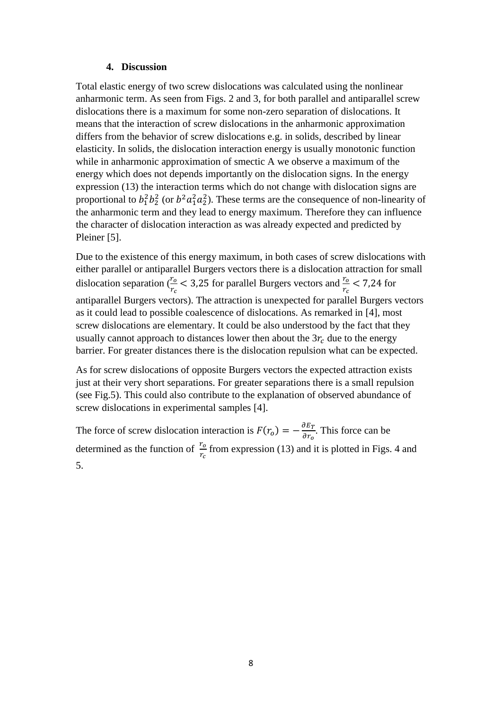### **4. Discussion**

Total elastic energy of two screw dislocations was calculated using the nonlinear anharmonic term. As seen from Figs. 2 and 3, for both parallel and antiparallel screw dislocations there is a maximum for some non-zero separation of dislocations. It means that the interaction of screw dislocations in the anharmonic approximation differs from the behavior of screw dislocations e.g. in solids, described by linear elasticity. In solids, the dislocation interaction energy is usually monotonic function while in anharmonic approximation of smectic A we observe a maximum of the energy which does not depends importantly on the dislocation signs. In the energy expression (13) the interaction terms which do not change with dislocation signs are proportional to  $b_1^2 b_2^2$  (or  $b^2 a_1^2 a_2^2$ ). These terms are the consequence of non-linearity of the anharmonic term and they lead to energy maximum. Therefore they can influence the character of dislocation interaction as was already expected and predicted by Pleiner [5].

Due to the existence of this energy maximum, in both cases of screw dislocations with either parallel or antiparallel Burgers vectors there is a dislocation attraction for small dislocation separation ( $\frac{r_o}{r_c}$  < 3,25 for parallel Burgers vectors and  $\frac{r_o}{r_c}$  < 7,24 for antiparallel Burgers vectors). The attraction is unexpected for parallel Burgers vectors as it could lead to possible coalescence of dislocations. As remarked in [4], most screw dislocations are elementary. It could be also understood by the fact that they usually cannot approach to distances lower then about the  $3r_c$  due to the energy barrier. For greater distances there is the dislocation repulsion what can be expected.

As for screw dislocations of opposite Burgers vectors the expected attraction exists just at their very short separations. For greater separations there is a small repulsion (see Fig.5). This could also contribute to the explanation of observed abundance of screw dislocations in experimental samples [4].

The force of screw dislocation interaction is  $F(r_0) = -\frac{\partial E_T}{\partial r_0}$  $\frac{\partial E_T}{\partial r_o}$ . This force can be determined as the function of  $\frac{r_o}{r_c}$  from expression (13) and it is plotted in Figs. 4 and 5.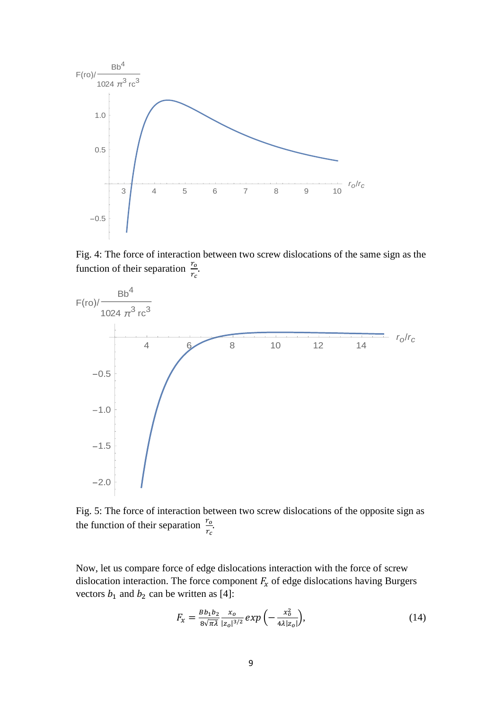

Fig. 4: The force of interaction between two screw dislocations of the same sign as the function of their separation  $\frac{r_o}{r_c}$ .



Fig. 5: The force of interaction between two screw dislocations of the opposite sign as the function of their separation  $\frac{r_o}{r_c}$ .

Now, let us compare force of edge dislocations interaction with the force of screw dislocation interaction. The force component  $F_x$  of edge dislocations having Burgers vectors  $b_1$  and  $b_2$  can be written as [4]:

$$
F_x = \frac{Bb_1b_2}{8\sqrt{\pi\lambda}} \frac{x_0}{|z_0|^{3/2}} \exp\left(-\frac{x_0^2}{4\lambda |z_0|}\right),\tag{14}
$$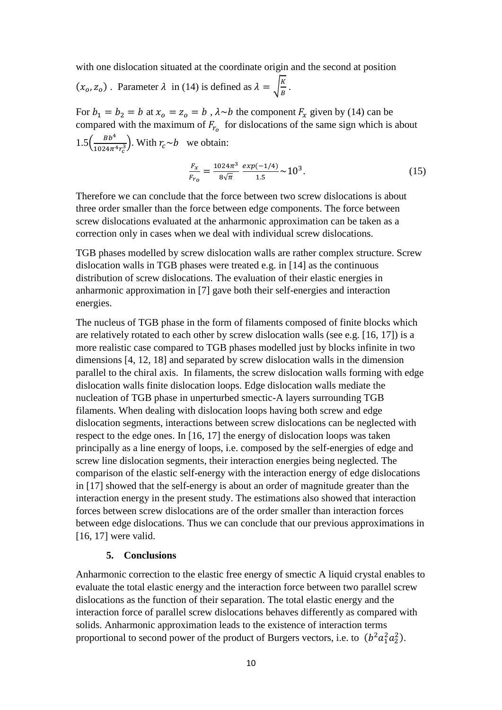with one dislocation situated at the coordinate origin and the second at position

 $(x_0, z_0)$ . Parameter  $\lambda$  in (14) is defined as  $\lambda = \sqrt{\frac{K}{R}}$  $\frac{A}{B}$ .

For  $b_1 = b_2 = b$  at  $x_0 = z_0 = b$ ,  $\lambda \sim b$  the component  $F_x$  given by (14) can be compared with the maximum of  $F_{r_o}$  for dislocations of the same sign which is about  $1.5\left(\frac{Bb^4}{1024\pi^4}\right)$  $\frac{BD}{1024\pi^4 r_c^3}$ . With  $r_c \sim b$  we obtain:

$$
\frac{F_x}{F_{r_0}} = \frac{1024\pi^3}{8\sqrt{\pi}} \frac{\exp(-1/4)}{1.5} \sim 10^3.
$$
 (15)

Therefore we can conclude that the force between two screw dislocations is about three order smaller than the force between edge components. The force between screw dislocations evaluated at the anharmonic approximation can be taken as a correction only in cases when we deal with individual screw dislocations.

TGB phases modelled by screw dislocation walls are rather complex structure. Screw dislocation walls in TGB phases were treated e.g. in [14] as the continuous distribution of screw dislocations. The evaluation of their elastic energies in anharmonic approximation in [7] gave both their self-energies and interaction energies.

The nucleus of TGB phase in the form of filaments composed of finite blocks which are relatively rotated to each other by screw dislocation walls (see e.g. [16, 17]) is a more realistic case compared to TGB phases modelled just by blocks infinite in two dimensions [4, 12, 18] and separated by screw dislocation walls in the dimension parallel to the chiral axis. In filaments, the screw dislocation walls forming with edge dislocation walls finite dislocation loops. Edge dislocation walls mediate the nucleation of TGB phase in unperturbed smectic-A layers surrounding TGB filaments. When dealing with dislocation loops having both screw and edge dislocation segments, interactions between screw dislocations can be neglected with respect to the edge ones. In [16, 17] the energy of dislocation loops was taken principally as a line energy of loops, i.e. composed by the self-energies of edge and screw line dislocation segments, their interaction energies being neglected. The comparison of the elastic self-energy with the interaction energy of edge dislocations in [17] showed that the self-energy is about an order of magnitude greater than the interaction energy in the present study. The estimations also showed that interaction forces between screw dislocations are of the order smaller than interaction forces between edge dislocations. Thus we can conclude that our previous approximations in [16, 17] were valid.

### **5. Conclusions**

Anharmonic correction to the elastic free energy of smectic A liquid crystal enables to evaluate the total elastic energy and the interaction force between two parallel screw dislocations as the function of their separation. The total elastic energy and the interaction force of parallel screw dislocations behaves differently as compared with solids. Anharmonic approximation leads to the existence of interaction terms proportional to second power of the product of Burgers vectors, i.e. to  $(b^2a_1^2a_2^2)$ .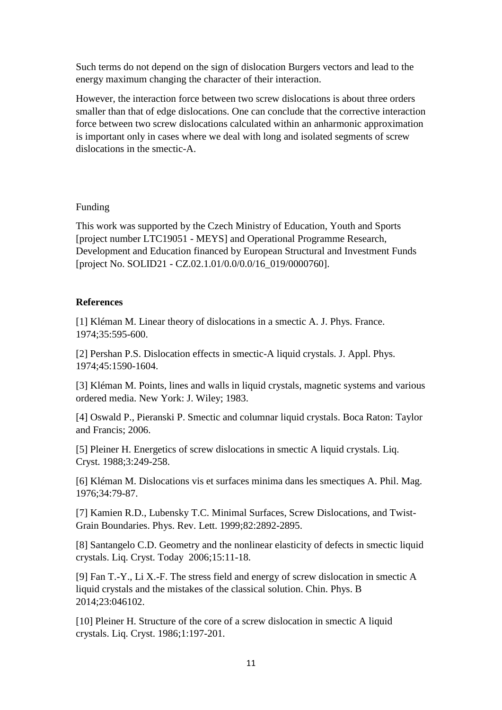Such terms do not depend on the sign of dislocation Burgers vectors and lead to the energy maximum changing the character of their interaction.

However, the interaction force between two screw dislocations is about three orders smaller than that of edge dislocations. One can conclude that the corrective interaction force between two screw dislocations calculated within an anharmonic approximation is important only in cases where we deal with long and isolated segments of screw dislocations in the smectic-A.

### Funding

This work was supported by the Czech Ministry of Education, Youth and Sports [project number LTC19051 - MEYS] and Operational Programme Research, Development and Education financed by European Structural and Investment Funds [project No. SOLID21 - CZ.02.1.01/0.0/0.0/16\_019/0000760].

# **References**

[1] Kléman M. Linear theory of dislocations in a smectic A. J. Phys. France. 1974;35:595-600.

[2] Pershan P.S. Dislocation effects in smectic-A liquid crystals. J. Appl. Phys. 1974;45:1590-1604.

[3] Kléman M. Points, lines and walls in liquid crystals, magnetic systems and various ordered media. New York: J. Wiley; 1983.

[4] Oswald P., Pieranski P. Smectic and columnar liquid crystals. Boca Raton: Taylor and Francis; 2006.

[5] Pleiner H. Energetics of screw dislocations in smectic A liquid crystals. Liq. Cryst. 1988;3:249-258.

[6] Kléman M. Dislocations vis et surfaces minima dans les smectiques A. Phil. Mag. 1976;34:79-87.

[7] Kamien R.D., Lubensky T.C. Minimal Surfaces, Screw Dislocations, and Twist-Grain Boundaries. Phys. Rev. Lett. 1999;82:2892-2895.

[8] Santangelo C.D. Geometry and the nonlinear elasticity of defects in smectic liquid crystals. Liq. Cryst. Today 2006;15:11-18.

[9] Fan T.-Y., Li X.-F. The stress field and energy of screw dislocation in smectic A liquid crystals and the mistakes of the classical solution. Chin. Phys. B 2014;23:046102.

[10] Pleiner H. Structure of the core of a screw dislocation in smectic A liquid crystals. Liq. Cryst. 1986;1:197-201.